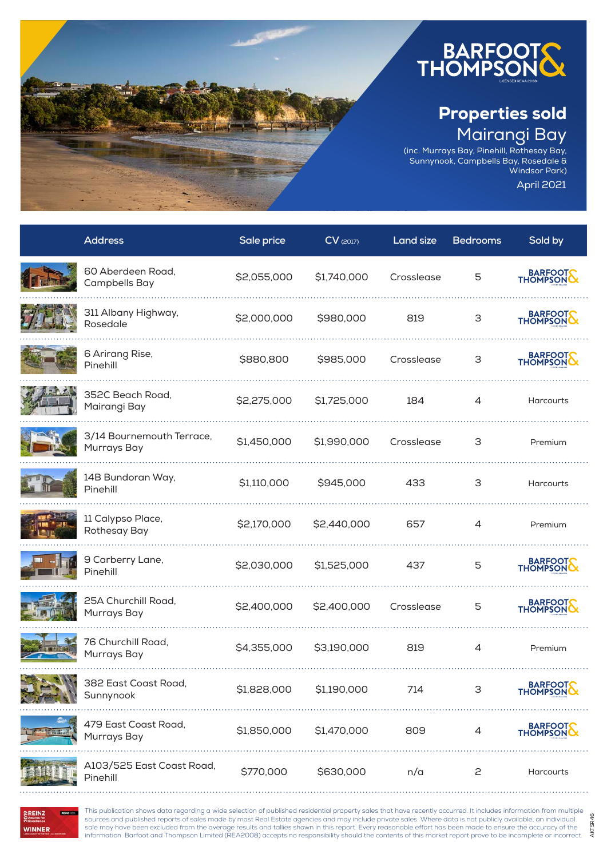

AKTSR46

AKTSR46

(inc. Murrays Bay, Pinehill, Rothesay Bay, Sunnynook, Campbells Bay, Rosedale & Windsor Park) April 2021

| <b>Address</b>                           | Sale price  | $CV$ (2017) | <b>Land size</b> | <b>Bedrooms</b> | Sold by             |
|------------------------------------------|-------------|-------------|------------------|-----------------|---------------------|
| 60 Aberdeen Road,<br>Campbells Bay       | \$2,055,000 | \$1,740,000 | Crosslease       | 5               | BARFOOT             |
| 311 Albany Highway,<br>Rosedale          | \$2,000,000 | \$980,000   | 819              | 3               | BARFOOTS            |
| 6 Arirang Rise,<br>Pinehill              | \$880,800   | \$985,000   | Crosslease       | 3               | BARFOOT             |
| 352C Beach Road,<br>Mairangi Bay         | \$2,275,000 | \$1,725,000 | 184              | 4               | Harcourts           |
| 3/14 Bournemouth Terrace,<br>Murrays Bay | \$1,450,000 | \$1,990,000 | Crosslease       | З               | Premium             |
| 14B Bundoran Way,<br>Pinehill            | \$1,110,000 | \$945,000   | 433              | 3               | Harcourts           |
| 11 Calypso Place,<br>Rothesay Bay        | \$2,170,000 | \$2,440,000 | 657              | 4               | Premium             |
| 9 Carberry Lane,<br>Pinehill             | \$2,030,000 | \$1,525,000 | 437              | 5               | BARFOOT             |
| 25A Churchill Road,<br>Murrays Bay       | \$2,400,000 | \$2,400,000 | Crosslease       | 5               | BARFOOT             |
| 76 Churchill Road,<br>Murrays Bay        | \$4,355,000 | \$3,190,000 | 819              | 4               | Premium             |
| 382 East Coast Road,<br>Sunnynook        | \$1,828,000 | \$1,190,000 | 714              | 3               | BARFOOTS            |
| 479 East Coast Road,<br>Murrays Bay      | \$1,850,000 | \$1,470,000 | 809              | 4               | BARFOOT<br>THOMPSON |
| A103/525 East Coast Road,<br>Pinehill    | \$770,000   | \$630,000   | n/a              | 2               | Harcourts           |

**CREINZ**<br>O Avverds for **READ TO WINNER** 

This publication shows data regarding a wide selection of published residential property sales that have recently occurred. It includes information from multiple sources and published reports of sales made by most Real Estate agencies and may include private sales. Where data is not publicly available, an individual sale may have been excluded from the average results and tallies shown in this report. Every reasonable effort has been made to ensure the accuracy of the information. Barfoot and Thompson Limited (REA2008) accepts no responsibility should the contents of this market report prove to be incomplete or incorrect.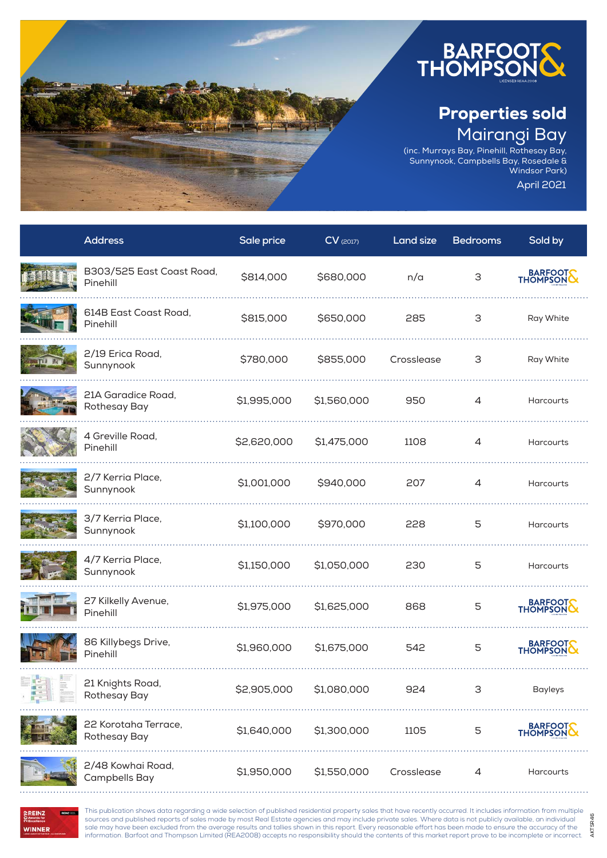

AKTSR46

AKTSR46

(inc. Murrays Bay, Pinehill, Rothesay Bay, Sunnynook, Campbells Bay, Rosedale & Windsor Park) April 2021

| <b>Address</b>                        | Sale price  | $CV$ (2017) | <b>Land size</b> | <b>Bedrooms</b> | Sold by             |
|---------------------------------------|-------------|-------------|------------------|-----------------|---------------------|
| B303/525 East Coast Road,<br>Pinehill | \$814,000   | \$680,000   | n/a              | 3               | BARFOOT             |
| 614B East Coast Road,<br>Pinehill     | \$815,000   | \$650,000   | 285              | 3               | Ray White           |
| 2/19 Erica Road,<br>Sunnynook         | \$780,000   | \$855,000   | Crosslease       | З               | Ray White           |
| 21A Garadice Road,<br>Rothesay Bay    | \$1,995,000 | \$1,560,000 | 950              | 4               | Harcourts           |
| 4 Greville Road,<br>Pinehill          | \$2,620,000 | \$1,475,000 | 1108             | 4               | Harcourts           |
| 2/7 Kerria Place,<br>Sunnynook        | \$1,001,000 | \$940,000   | 207              | $\overline{4}$  | Harcourts           |
| 3/7 Kerria Place,<br>Sunnynook        | \$1,100,000 | \$970,000   | 228              | 5               | <b>Harcourts</b>    |
| 4/7 Kerria Place,<br>Sunnynook        | \$1,150,000 | \$1,050,000 | 230              | 5               | Harcourts           |
| 27 Kilkelly Avenue,<br>Pinehill       | \$1,975,000 | \$1,625,000 | 868              | 5               | BARFOOT             |
| 86 Killybegs Drive,<br>Pinehill       | \$1,960,000 | \$1,675,000 | 542              | 5               | BARFOOT             |
| 21 Knights Road,<br>Rothesay Bay      | \$2,905,000 | \$1 080 000 | 924              | 3               | <b>Bayleys</b>      |
| 22 Korotaha Terrace,<br>Rothesay Bay  | \$1,640,000 | \$1,300,000 | 1105             | 5               | BARFOOT<br>THOMPSON |
| 2/48 Kowhai Road,<br>Campbells Bay    | \$1,950,000 | \$1,550,000 | Crosslease       | 4               | Harcourts           |

**CREINZ**<br>O Awards for **RENZ** USA **WINNER** 

**CONTRACTOR** t.

**SALE** 

**RANGE** 

**The Second Control** 

This publication shows data regarding a wide selection of published residential property sales that have recently occurred. It includes information from multiple sources and published reports of sales made by most Real Estate agencies and may include private sales. Where data is not publicly available, an individual sale may have been excluded from the average results and tallies shown in this report. Every reasonable effort has been made to ensure the accuracy of the information. Barfoot and Thompson Limited (REA2008) accepts no responsibility should the contents of this market report prove to be incomplete or incorrect.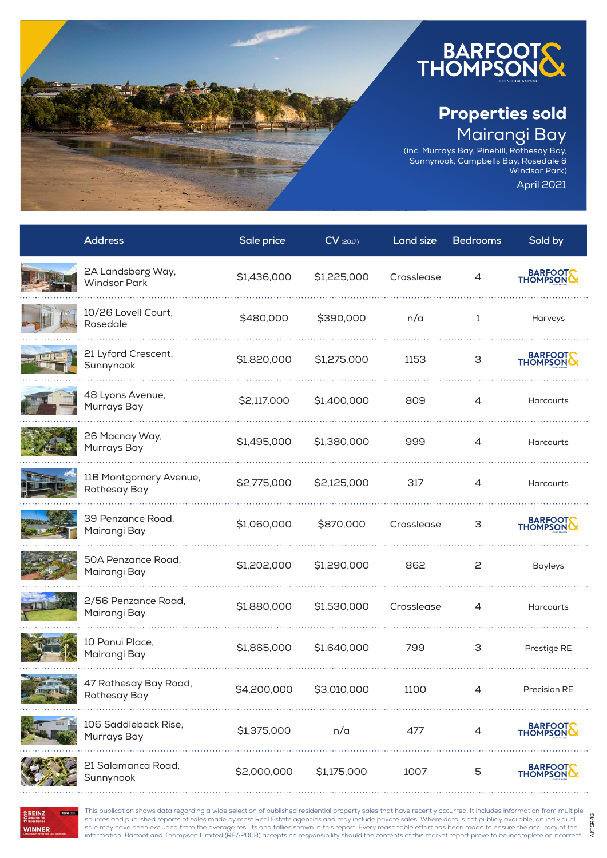

AKTSR46

AKTSR46

(inc. Murrays Bay, Pinehill, Rothesay Bay, Sunnynook, Campbells Bay, Rosedale & Windsor Park) April 2021

| <b>Address</b>                           | Sale price  | $CV$ (2017) | <b>Land size</b> | <b>Bedrooms</b> | Sold by             |
|------------------------------------------|-------------|-------------|------------------|-----------------|---------------------|
| 2A Landsberg Way,<br><b>Windsor Park</b> | \$1,436,000 | \$1,225,000 | Crosslease       | 4               | BARFOOTS            |
| 10/26 Lovell Court,<br>Rosedale          | \$480,000   | \$390,000   | n/a              | $\mathbf{1}$    | Harveys             |
| 21 Lyford Crescent,<br>Sunnynook         | \$1,820,000 | \$1,275,000 | 1153             | З               | BARFOOT             |
| 48 Lyons Avenue,<br>Murrays Bay          | \$2,117,000 | \$1,400,000 | 809              | $\overline{4}$  | Harcourts           |
| 26 Macnay Way,<br>Murrays Bay            | \$1,495,000 | \$1,380,000 | 999              | 4               | Harcourts           |
| 11B Montgomery Avenue,<br>Rothesay Bay   | \$2,775,000 | \$2,125,000 | 317              | $\overline{4}$  | Harcourts           |
| 39 Penzance Road,<br>Mairangi Bay        | \$1,060,000 | \$870,000   | Crosslease       | 3               | BARFOOT             |
| 50A Penzance Road,<br>Mairangi Bay       | \$1,202,000 | \$1,290,000 | 862              | 2               | <b>Bayleys</b>      |
| 2/56 Penzance Road,<br>Mairangi Bay      | \$1,880,000 | \$1,530,000 | Crosslease       | $\overline{4}$  | Harcourts           |
| 10 Ponui Place,<br>Mairangi Bay          | \$1,865,000 | \$1,640,000 | 799              | З               | Prestige RE         |
| 47 Rothesay Bay Road,<br>Rothesay Bay    | \$4,200,000 | \$3,010,000 | 1100             | 4               | Precision RE        |
| 106 Saddleback Rise,<br>Murrays Bay      | \$1,375,000 | n/a         | 477              | 4               | BARFOOT             |
| 21 Salamanca Road,<br>Sunnynook          | \$2,000,000 | \$1,175,000 | 1007             | 5               | BARFOOT<br>THOMPSON |

**CREINZ**<br>Odamarda for **RENZ** USA **WINNER** 

This publication shows data regarding a wide selection of published residential property sales that have recently occurred. It includes information from multiple sources and published reports of sales made by most Real Estate agencies and may include private sales. Where data is not publicly available, an individual sale may have been excluded from the average results and tallies shown in this report. Every reasonable effort has been made to ensure the accuracy of the information. Barfoot and Thompson Limited (REA2008) accepts no responsibility should the contents of this market report prove to be incomplete or incorrect.